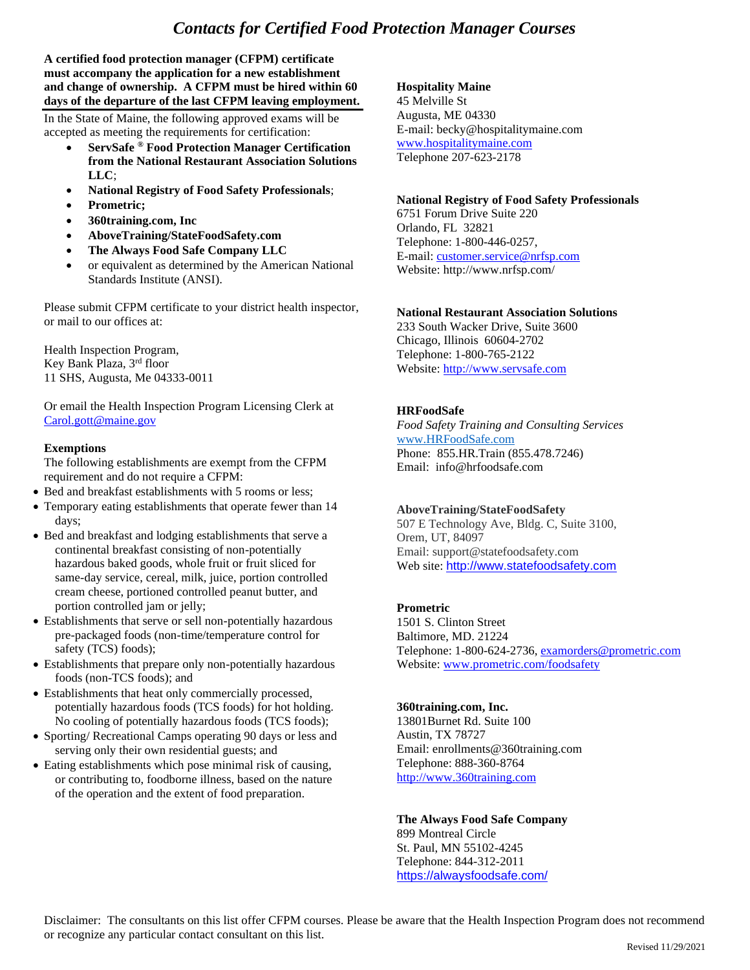# *Contacts for Certified Food Protection Manager Courses*

**A certified food protection manager (CFPM) certificate must accompany the application for a new establishment and change of ownership. A CFPM must be hired within 60 days of the departure of the last CFPM leaving employment.**

In the State of Maine, the following approved exams will be accepted as meeting the requirements for certification:

- **ServSafe ® Food Protection Manager Certification from the National Restaurant Association Solutions LLC**;
- **National Registry of Food Safety Professionals**;
- **Prometric;**
- **360training.com, Inc**
- **AboveTraining/StateFoodSafety.com**
- **The Always Food Safe Company LLC**
- or equivalent as determined by the American National Standards Institute (ANSI).

Please submit CFPM certificate to your district health inspector, or mail to our offices at:

Health Inspection Program, Key Bank Plaza, 3rd floor 11 SHS, Augusta, Me 04333-0011

Or email the Health Inspection Program Licensing Clerk at [Carol.gott@maine.gov](mailto:Carol.gott@maine.gov)

#### **Exemptions**

The following establishments are exempt from the CFPM requirement and do not require a CFPM:

- Bed and breakfast establishments with 5 rooms or less;
- Temporary eating establishments that operate fewer than 14 days;
- Bed and breakfast and lodging establishments that serve a continental breakfast consisting of non-potentially hazardous baked goods, whole fruit or fruit sliced for same-day service, cereal, milk, juice, portion controlled cream cheese, portioned controlled peanut butter, and portion controlled jam or jelly;
- Establishments that serve or sell non-potentially hazardous pre-packaged foods (non-time/temperature control for safety (TCS) foods);
- Establishments that prepare only non-potentially hazardous foods (non-TCS foods); and
- Establishments that heat only commercially processed, potentially hazardous foods (TCS foods) for hot holding. No cooling of potentially hazardous foods (TCS foods);
- Sporting/ Recreational Camps operating 90 days or less and serving only their own residential guests; and
- Eating establishments which pose minimal risk of causing, or contributing to, foodborne illness, based on the nature of the operation and the extent of food preparation.

## **Hospitality Maine**

45 Melville St Augusta, ME 04330 E-mail: becky@hospitalitymaine.com www.hospitalitymaine.com Telephone 207-623-2178

### **National Registry of Food Safety Professionals**

6751 Forum Drive Suite 220 Orlando, FL 32821 Telephone: 1-800-446-0257, E-mail: [customer.service@nrfsp.com](mailto:customer.service@nrfsp.com) Website:<http://www.nrfsp.com/>

### **National Restaurant Association Solutions**

233 South Wacker Drive, Suite 3600 Chicago, Illinois 60604-2702 Telephone: 1-800-765-2122 Website: [http://www.servsafe.com](http://www.servsafe.com/)

## **HRFoodSafe**

*Food Safety Training and Consulting Services* [www.HRFoodSafe.com](http://www.hrfoodsafe.com/) Phone: 855.HR.Train (855.478.7246) Email: info@hrfoodsafe.com

## **AboveTraining/StateFoodSafety**

507 E Technology Ave, Bldg. C, Suite 3100, Orem, UT, 84097 Email: support@statefoodsafety.com Web site: [http://www.statefoodsafety.com](http://www.statefoodsafety.com/)

## **Prometric**

1501 S. Clinton Street Baltimore, MD. 21224 Telephone: 1-800-624-2736[, examorders@prometric.com](mailto:examorders@prometric.com) Website: [www.prometric.com/foodsafety](http://www.prometric.com/foodsafety)

#### **360training.com, Inc.**

13801Burnet Rd. Suite 100 Austin, TX 78727 Email: enrollments@360training.com Telephone: 888-360-8764 [http://www.360training.com](http://www.360training.com/)

#### **The Always Food Safe Company**

899 Montreal Circle St. Paul, MN 55102-4245 Telephone: 844-312-2011 <https://alwaysfoodsafe.com/>

Disclaimer: The consultants on this list offer CFPM courses. Please be aware that the Health Inspection Program does not recommend or recognize any particular contact consultant on this list.